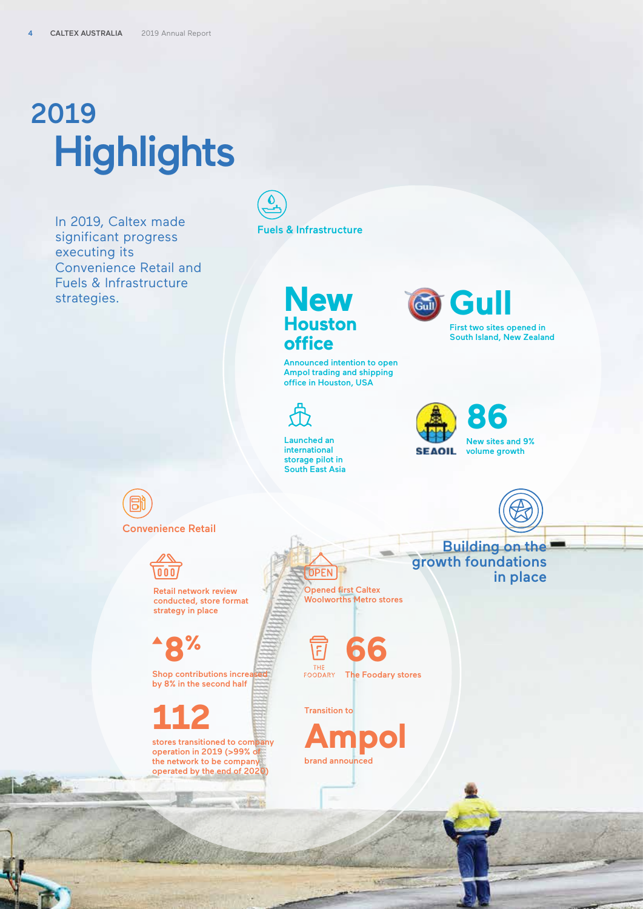## **Highlights** 2019

In 2019, Caltex made significant progress executing its Convenience Retail and Fuels & Infrastructure strategies.

Fuels & Infrastructure

## **New Houston office**

Announced intention to open Ampol trading and shipping office in Houston, USA



Launched an international storage pilot in South East Asia





B Convenience Retail



Retail network review conducted, store format strategy in place

**8%**

Shop contributions increa by 8% in the second half

**112** 

stores transitioned to company operation in 2019 (>99% of the network to be company operated by the end of 2020)

Opened first Caltex Woolworths Metro stores

**DPEN** 

**66**   $\overline{\mathsf{F}}$ THI FOODARY The Foodary stores

Transition to

**Ampol** brand announced

Building on the growth foundations in place